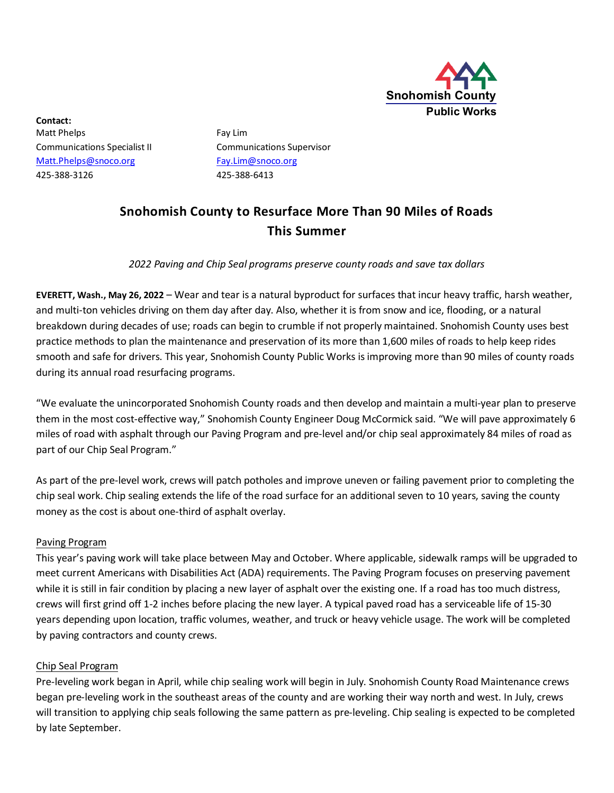

**Contact:** Matt Phelps Fay Lim Communications Specialist II Communications Supervisor [Matt.Phelps@snoco.org](mailto:Matt.Phelps@snoco.org) [Fay.Lim@snoco.org](mailto:Fay.Lim@snoco.org) 425-388-3126 425-388-6413

## **Snohomish County to Resurface More Than 90 Miles of Roads This Summer**

*2022 Paving and Chip Seal programs preserve county roads and save tax dollars*

**EVERETT, Wash., May 26, 2022** – Wear and tear is a natural byproduct for surfaces that incur heavy traffic, harsh weather, and multi-ton vehicles driving on them day after day. Also, whether it is from snow and ice, flooding, or a natural breakdown during decades of use; roads can begin to crumble if not properly maintained. Snohomish County uses best practice methods to plan the maintenance and preservation of its more than 1,600 miles of roads to help keep rides smooth and safe for drivers. This year, Snohomish County Public Works is improving more than 90 miles of county roads during its annual road resurfacing programs.

"We evaluate the unincorporated Snohomish County roads and then develop and maintain a multi-year plan to preserve them in the most cost-effective way," Snohomish County Engineer Doug McCormick said. "We will pave approximately 6 miles of road with asphalt through our Paving Program and pre-level and/or chip seal approximately 84 miles of road as part of our Chip Seal Program."

As part of the pre-level work, crews will patch potholes and improve uneven or failing pavement prior to completing the chip seal work. Chip sealing extends the life of the road surface for an additional seven to 10 years, saving the county money as the cost is about one-third of asphalt overlay.

## Paving Program

This year's paving work will take place between May and October. Where applicable, sidewalk ramps will be upgraded to meet current Americans with Disabilities Act (ADA) requirements. The Paving Program focuses on preserving pavement while it is still in fair condition by placing a new layer of asphalt over the existing one. If a road has too much distress, crews will first grind off 1-2 inches before placing the new layer. A typical paved road has a serviceable life of 15-30 years depending upon location, traffic volumes, weather, and truck or heavy vehicle usage. The work will be completed by paving contractors and county crews.

## Chip Seal Program

Pre-leveling work began in April, while chip sealing work will begin in July. Snohomish County Road Maintenance crews began pre-leveling work in the southeast areas of the county and are working their way north and west. In July, crews will transition to applying chip seals following the same pattern as pre-leveling. Chip sealing is expected to be completed by late September.